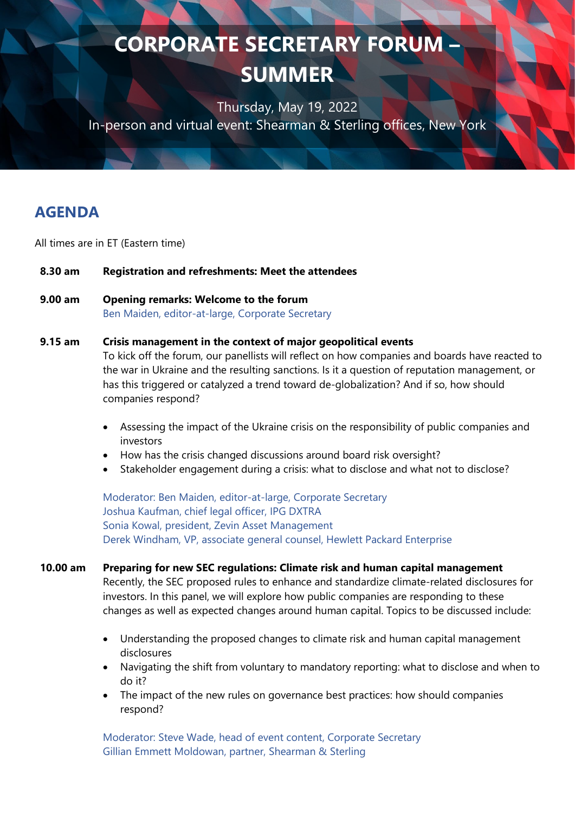Thursday, May 19, 2022 In-person and virtual event: Shearman & Sterling offices, New York

# **AGENDA**

All times are in ET (Eastern time)

### **8.30 am Registration and refreshments: Meet the attendees**

### **9.00 am Opening remarks: Welcome to the forum**

Ben Maiden, editor-at-large, Corporate Secretary

#### **9.15 am Crisis management in the context of major geopolitical events**

To kick off the forum, our panellists will reflect on how companies and boards have reacted to the war in Ukraine and the resulting sanctions. Is it a question of reputation management, or has this triggered or catalyzed a trend toward de-globalization? And if so, how should companies respond?

- Assessing the impact of the Ukraine crisis on the responsibility of public companies and investors
- How has the crisis changed discussions around board risk oversight?
- Stakeholder engagement during a crisis: what to disclose and what not to disclose?

Moderator: Ben Maiden, editor-at-large, Corporate Secretary Joshua Kaufman, chief legal officer, IPG DXTRA Sonia Kowal, president, Zevin Asset Management Derek Windham, VP, associate general counsel, Hewlett Packard Enterprise

### **10.00 am Preparing for new SEC regulations: Climate risk and human capital management**

Recently, the SEC proposed rules to enhance and standardize climate-related disclosures for investors. In this panel, we will explore how public companies are responding to these changes as well as expected changes around human capital. Topics to be discussed include:

- Understanding the proposed changes to climate risk and human capital management disclosures
- Navigating the shift from voluntary to mandatory reporting: what to disclose and when to do it?
- The impact of the new rules on governance best practices: how should companies respond?

Moderator: Steve Wade, head of event content, Corporate Secretary Gillian Emmett Moldowan, partner, Shearman & Sterling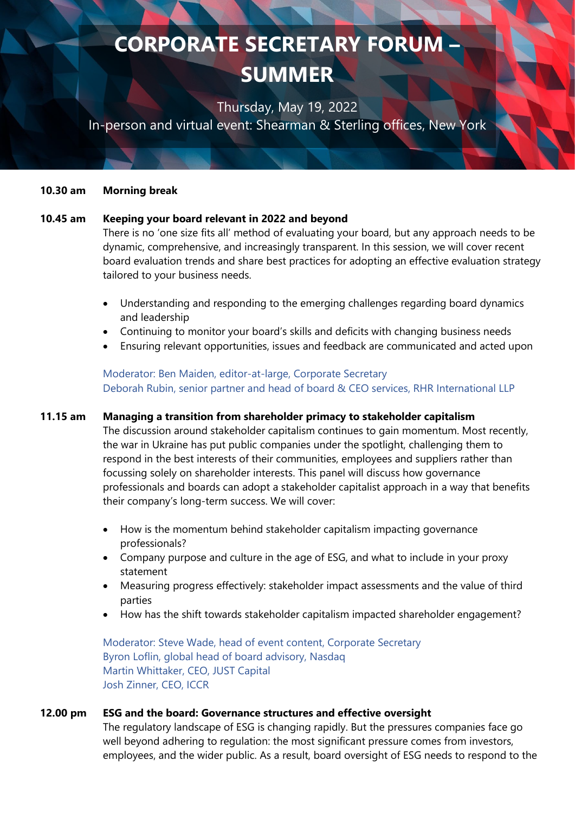Thursday, May 19, 2022

In-person and virtual event: Shearman & Sterling offices, New York

#### **10.30 am Morning break**

#### **10.45 am Keeping your board relevant in 2022 and beyond**

There is no 'one size fits all' method of evaluating your board, but any approach needs to be dynamic, comprehensive, and increasingly transparent. In this session, we will cover recent board evaluation trends and share best practices for adopting an effective evaluation strategy tailored to your business needs.

- Understanding and responding to the emerging challenges regarding board dynamics and leadership
- Continuing to monitor your board's skills and deficits with changing business needs
- Ensuring relevant opportunities, issues and feedback are communicated and acted upon

Moderator: Ben Maiden, editor-at-large, Corporate Secretary Deborah Rubin, senior partner and head of board & CEO services, RHR International LLP

#### **11.15 am Managing a transition from shareholder primacy to stakeholder capitalism**

The discussion around stakeholder capitalism continues to gain momentum. Most recently, the war in Ukraine has put public companies under the spotlight, challenging them to respond in the best interests of their communities, employees and suppliers rather than focussing solely on shareholder interests. This panel will discuss how governance professionals and boards can adopt a stakeholder capitalist approach in a way that benefits their company's long-term success. We will cover:

- How is the momentum behind stakeholder capitalism impacting governance professionals?
- Company purpose and culture in the age of ESG, and what to include in your proxy statement
- Measuring progress effectively: stakeholder impact assessments and the value of third parties
- How has the shift towards stakeholder capitalism impacted shareholder engagement?

Moderator: Steve Wade, head of event content, Corporate Secretary Byron Loflin, global head of board advisory, Nasdaq Martin Whittaker, CEO, JUST Capital Josh Zinner, CEO, ICCR

#### **12.00 pm ESG and the board: Governance structures and effective oversight**

The regulatory landscape of ESG is changing rapidly. But the pressures companies face go well beyond adhering to regulation: the most significant pressure comes from investors, employees, and the wider public. As a result, board oversight of ESG needs to respond to the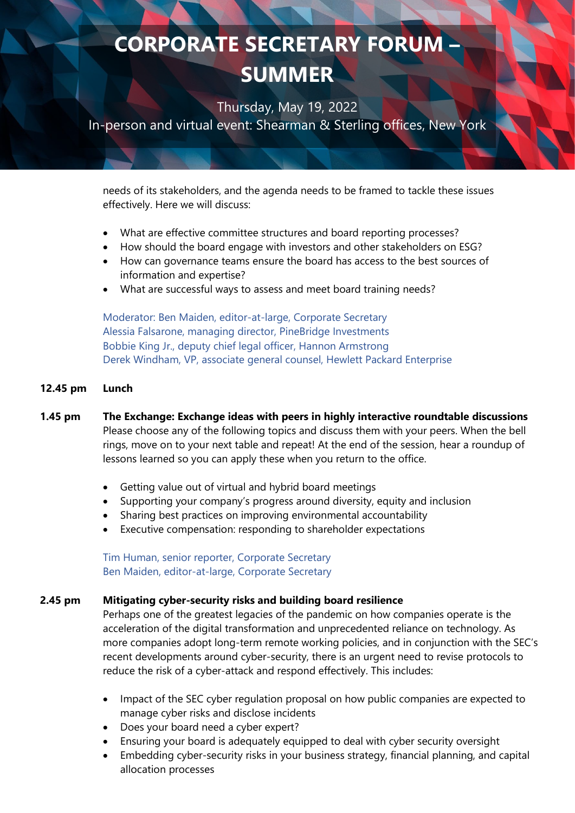Thursday, May 19, 2022

In-person and virtual event: Shearman & Sterling offices, New York

needs of its stakeholders, and the agenda needs to be framed to tackle these issues effectively. Here we will discuss:

- What are effective committee structures and board reporting processes?
- How should the board engage with investors and other stakeholders on ESG?
- How can governance teams ensure the board has access to the best sources of information and expertise?
- What are successful ways to assess and meet board training needs?

Moderator: Ben Maiden, editor-at-large, Corporate Secretary Alessia Falsarone, managing director, PineBridge Investments Bobbie King Jr., deputy chief legal officer, Hannon Armstrong Derek Windham, VP, associate general counsel, Hewlett Packard Enterprise

#### **12.45 pm Lunch**

### **1.45 pm The Exchange: Exchange ideas with peers in highly interactive roundtable discussions** Please choose any of the following topics and discuss them with your peers. When the bell rings, move on to your next table and repeat! At the end of the session, hear a roundup of lessons learned so you can apply these when you return to the office.

- Getting value out of virtual and hybrid board meetings
- Supporting your company's progress around diversity, equity and inclusion
- Sharing best practices on improving environmental accountability
- Executive compensation: responding to shareholder expectations

Tim Human, senior reporter, Corporate Secretary Ben Maiden, editor-at-large, Corporate Secretary

#### **2.45 pm Mitigating cyber-security risks and building board resilience**

Perhaps one of the greatest legacies of the pandemic on how companies operate is the acceleration of the digital transformation and unprecedented reliance on technology. As more companies adopt long-term remote working policies, and in conjunction with the SEC's recent developments around cyber-security, there is an urgent need to revise protocols to reduce the risk of a cyber-attack and respond effectively. This includes:

- Impact of the SEC cyber regulation proposal on how public companies are expected to manage cyber risks and disclose incidents
- Does your board need a cyber expert?
- Ensuring your board is adequately equipped to deal with cyber security oversight
- Embedding cyber-security risks in your business strategy, financial planning, and capital allocation processes